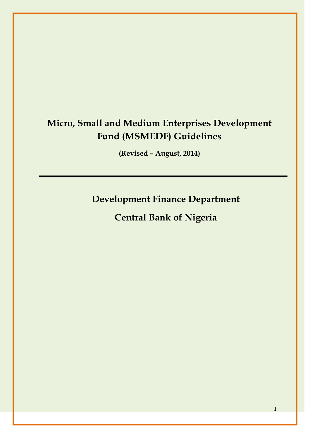# **Micro, Small and Medium Enterprises Development Fund (MSMEDF) Guidelines**

**(Revised – August, 2014)**

**Development Finance Department**

**Central Bank of Nigeria**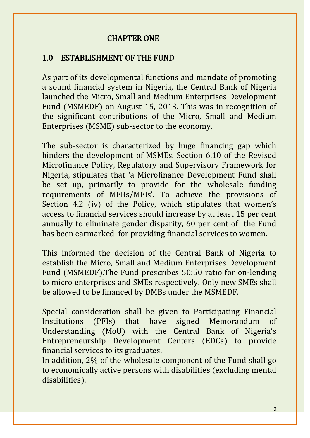### CHAPTER ONE

### 1.0 ESTABLISHMENT OF THE FUND

As part of its developmental functions and mandate of promoting a sound financial system in Nigeria, the Central Bank of Nigeria launched the Micro, Small and Medium Enterprises Development Fund (MSMEDF) on August 15, 2013. This was in recognition of the significant contributions of the Micro, Small and Medium Enterprises (MSME) sub-sector to the economy.

The sub-sector is characterized by huge financing gap which hinders the development of MSMEs. Section 6.10 of the Revised Microfinance Policy, Regulatory and Supervisory Framework for Nigeria, stipulates that 'a Microfinance Development Fund shall be set up, primarily to provide for the wholesale funding requirements of MFBs/MFIs'. To achieve the provisions of Section 4.2 (iv) of the Policy, which stipulates that women's access to financial services should increase by at least 15 per cent annually to eliminate gender disparity, 60 per cent of the Fund has been earmarked for providing financial services to women.

This informed the decision of the Central Bank of Nigeria to establish the Micro, Small and Medium Enterprises Development Fund (MSMEDF).The Fund prescribes 50:50 ratio for on-lending to micro enterprises and SMEs respectively. Only new SMEs shall be allowed to be financed by DMBs under the MSMEDF.

Special consideration shall be given to Participating Financial Institutions (PFIs) that have signed Memorandum of Understanding (MoU) with the Central Bank of Nigeria's Entrepreneurship Development Centers (EDCs) to provide financial services to its graduates.

In addition, 2% of the wholesale component of the Fund shall go to economically active persons with disabilities (excluding mental disabilities).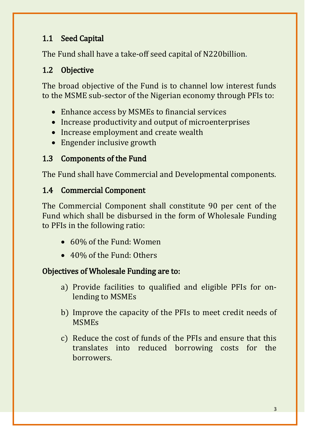## 1.1 Seed Capital

The Fund shall have a take-off seed capital of N220billion.

## 1.2 Objective

The broad objective of the Fund is to channel low interest funds to the MSME sub-sector of the Nigerian economy through PFIs to:

- Enhance access by MSMEs to financial services
- Increase productivity and output of microenterprises
- Increase employment and create wealth
- Engender inclusive growth

## 1.3 Components of the Fund

The Fund shall have Commercial and Developmental components.

## 1.4 Commercial Component

The Commercial Component shall constitute 90 per cent of the Fund which shall be disbursed in the form of Wholesale Funding to PFIs in the following ratio:

- 60% of the Fund: Women
- 40% of the Fund: Others

## Objectives of Wholesale Funding are to:

- a) Provide facilities to qualified and eligible PFIs for onlending to MSMEs
- b) Improve the capacity of the PFIs to meet credit needs of MSMEs
- c) Reduce the cost of funds of the PFIs and ensure that this translates into reduced borrowing costs for the borrowers.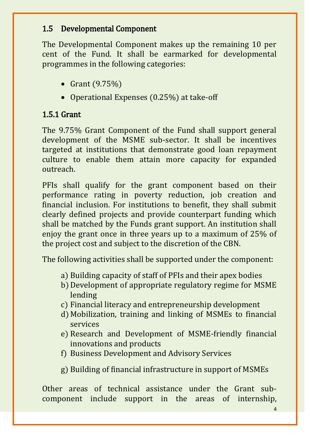### 1.5 Developmental Component

The Developmental Component makes up the remaining 10 per cent of the Fund. It shall be earmarked for developmental programmes in the following categories:

- Grant  $(9.75%)$
- Operational Expenses (0.25%) at take-off

## 1.5.1 Grant

The 9.75% Grant Component of the Fund shall support general development of the MSME sub-sector. It shall be incentives targeted at institutions that demonstrate good loan repayment culture to enable them attain more capacity for expanded outreach.

PFIs shall qualify for the grant component based on their performance rating in poverty reduction, job creation and financial inclusion. For institutions to benefit, they shall submit clearly defined projects and provide counterpart funding which shall be matched by the Funds grant support. An institution shall enjoy the grant once in three years up to a maximum of 25% of the project cost and subject to the discretion of the CBN.

The following activities shall be supported under the component:

- a) Building capacity of staff of PFIs and their apex bodies
- b) Development of appropriate regulatory regime for MSME lending
- c) Financial literacy and entrepreneurship development
- d) Mobilization, training and linking of MSMEs to financial services
- e) Research and Development of MSME-friendly financial innovations and products
- f) Business Development and Advisory Services
- g) Building of financial infrastructure in support of MSMEs

Other areas of technical assistance under the Grant subcomponent include support in the areas of internship,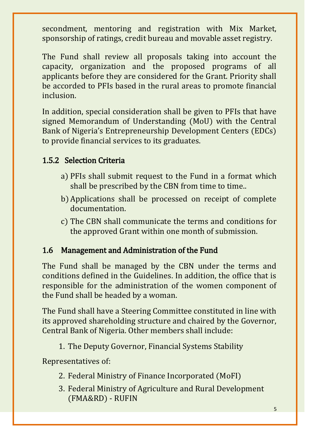secondment, mentoring and registration with Mix Market, sponsorship of ratings, credit bureau and movable asset registry.

The Fund shall review all proposals taking into account the capacity, organization and the proposed programs of all applicants before they are considered for the Grant. Priority shall be accorded to PFIs based in the rural areas to promote financial inclusion.

In addition, special consideration shall be given to PFIs that have signed Memorandum of Understanding (MoU) with the Central Bank of Nigeria's Entrepreneurship Development Centers (EDCs) to provide financial services to its graduates.

## 1.5.2 Selection Criteria

- a) PFIs shall submit request to the Fund in a format which shall be prescribed by the CBN from time to time..
- b) Applications shall be processed on receipt of complete documentation.
- c) The CBN shall communicate the terms and conditions for the approved Grant within one month of submission.

## 1.6 Management and Administration of the Fund

The Fund shall be managed by the CBN under the terms and conditions defined in the Guidelines. In addition, the office that is responsible for the administration of the women component of the Fund shall be headed by a woman.

The Fund shall have a Steering Committee constituted in line with its approved shareholding structure and chaired by the Governor, Central Bank of Nigeria. Other members shall include:

1. The Deputy Governor, Financial Systems Stability

Representatives of:

- 2. Federal Ministry of Finance Incorporated (MoFI)
- 3. Federal Ministry of Agriculture and Rural Development (FMA&RD) - RUFIN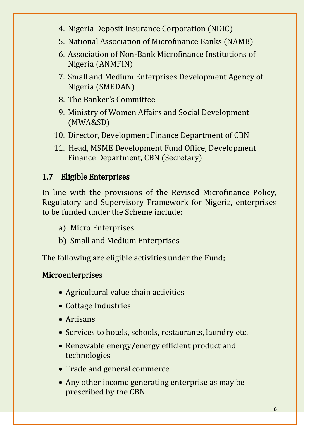- 4. Nigeria Deposit Insurance Corporation (NDIC)
- 5. National Association of Microfinance Banks (NAMB)
- 6. Association of Non-Bank Microfinance Institutions of Nigeria (ANMFIN)
- 7. Small and Medium Enterprises Development Agency of Nigeria (SMEDAN)
- 8. The Banker's Committee
- 9. Ministry of Women Affairs and Social Development (MWA&SD)
- 10. Director, Development Finance Department of CBN
- 11. Head, MSME Development Fund Office, Development Finance Department, CBN (Secretary)

## 1.7 Eligible Enterprises

In line with the provisions of the Revised Microfinance Policy, Regulatory and Supervisory Framework for Nigeria, enterprises to be funded under the Scheme include:

- a) Micro Enterprises
- b) Small and Medium Enterprises

The following are eligible activities under the Fund:

## Microenterprises

- Agricultural value chain activities
- Cottage Industries
- Artisans
- Services to hotels, schools, restaurants, laundry etc.
- Renewable energy/energy efficient product and technologies
- Trade and general commerce
- Any other income generating enterprise as may be prescribed by the CBN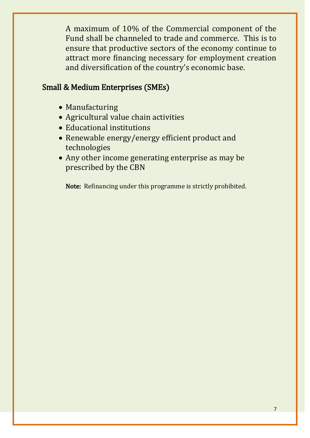A maximum of 10% of the Commercial component of the Fund shall be channeled to trade and commerce. This is to ensure that productive sectors of the economy continue to attract more financing necessary for employment creation and diversification of the country's economic base.

### Small & Medium Enterprises (SMEs)

- Manufacturing
- Agricultural value chain activities
- Educational institutions
- Renewable energy/energy efficient product and technologies
- Any other income generating enterprise as may be prescribed by the CBN

Note: Refinancing under this programme is strictly prohibited.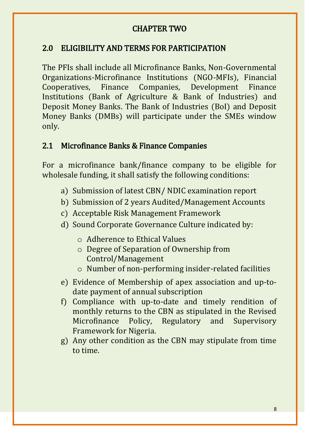### CHAPTER TWO

### 2.0 ELIGIBILITY AND TERMS FOR PARTICIPATION

The PFIs shall include all Microfinance Banks, Non-Governmental Organizations-Microfinance Institutions (NGO-MFIs), Financial Cooperatives, Finance Companies, Development Finance Institutions (Bank of Agriculture & Bank of Industries) and Deposit Money Banks. The Bank of Industries (BoI) and Deposit Money Banks (DMBs) will participate under the SMEs window only.

### 2.1 Microfinance Banks & Finance Companies

For a microfinance bank/finance company to be eligible for wholesale funding, it shall satisfy the following conditions:

- a) Submission of latest CBN/ NDIC examination report
- b) Submission of 2 years Audited/Management Accounts
- c) Acceptable Risk Management Framework
- d) Sound Corporate Governance Culture indicated by:
	- o Adherence to Ethical Values
	- o Degree of Separation of Ownership from Control/Management
	- o Number of non-performing insider-related facilities
- e) Evidence of Membership of apex association and up-todate payment of annual subscription
- f) Compliance with up-to-date and timely rendition of monthly returns to the CBN as stipulated in the Revised Microfinance Policy, Regulatory and Supervisory Framework for Nigeria.
- g) Any other condition as the CBN may stipulate from time to time.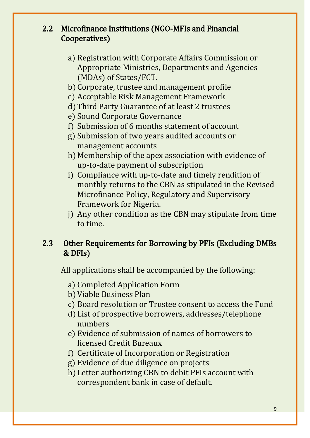### 2.2 Microfinance Institutions (NGO-MFIs and Financial Cooperatives)

- a) Registration with Corporate Affairs Commission or Appropriate Ministries, Departments and Agencies (MDAs) of States/FCT.
- b) Corporate, trustee and management profile
- c) Acceptable Risk Management Framework
- d) Third Party Guarantee of at least 2 trustees
- e) Sound Corporate Governance
- f) Submission of 6 months statement of account
- g) Submission of two years audited accounts or management accounts
- h) Membership of the apex association with evidence of up-to-date payment of subscription
- i) Compliance with up-to-date and timely rendition of monthly returns to the CBN as stipulated in the Revised Microfinance Policy, Regulatory and Supervisory Framework for Nigeria.
- j) Any other condition as the CBN may stipulate from time to time.

## 2.3 Other Requirements for Borrowing by PFIs (Excluding DMBs & DFIs)

All applications shall be accompanied by the following:

- a) Completed Application Form
- b) Viable Business Plan
- c) Board resolution or Trustee consent to access the Fund
- d) List of prospective borrowers, addresses/telephone numbers
- e) Evidence of submission of names of borrowers to licensed Credit Bureaux
- f) Certificate of Incorporation or Registration
- g) Evidence of due diligence on projects
- h) Letter authorizing CBN to debit PFIs account with correspondent bank in case of default.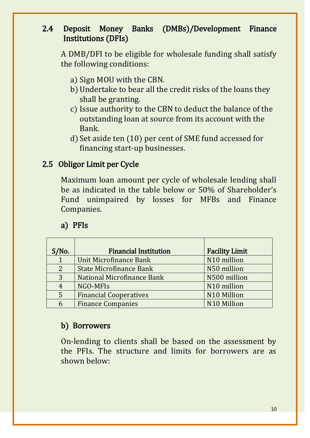### 2.4 Deposit Money Banks (DMBs)/Development Finance Institutions (DFIs)

A DMB/DFI to be eligible for wholesale funding shall satisfy the following conditions:

- a) Sign MOU with the CBN.
- b) Undertake to bear all the credit risks of the loans they shall be granting.
- c) Issue authority to the CBN to deduct the balance of the outstanding loan at source from its account with the Bank.
- d) Set aside ten (10) per cent of SME fund accessed for financing start-up businesses.

### 2.5 Obligor Limit per Cycle

Maximum loan amount per cycle of wholesale lending shall be as indicated in the table below or 50% of Shareholder's Fund unimpaired by losses for MFBs and Finance Companies.

### a) PFIs

| S/No.          | <b>Financial Institution</b>   | <b>Facility Limit</b> |  |
|----------------|--------------------------------|-----------------------|--|
| 1              | Unit Microfinance Bank         | N10 million           |  |
| $\overline{2}$ | <b>State Microfinance Bank</b> | N50 million           |  |
| 3              | National Microfinance Bank     | N500 million          |  |
| 4              | NGO-MFIs                       | N10 million           |  |
| 5              | <b>Financial Cooperatives</b>  | N10 Million           |  |
| 6              | <b>Finance Companies</b>       | N10 Million           |  |

### b) Borrowers

On-lending to clients shall be based on the assessment by the PFIs. The structure and limits for borrowers are as shown below: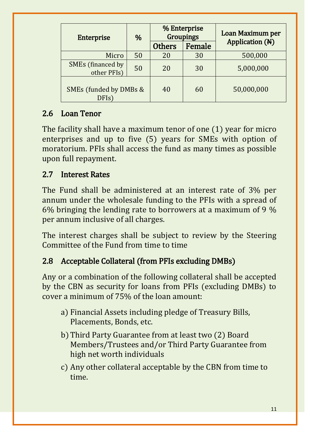| <b>Enterprise</b>                       | %  | % Enterprise<br><b>Groupings</b> |            | Loan Maximum per       |
|-----------------------------------------|----|----------------------------------|------------|------------------------|
|                                         |    | <b>Others</b>                    | Female     | <b>Application (N)</b> |
| Micro                                   | 50 | 20                               | 30         | 500,000                |
| <b>SMEs</b> (financed by<br>other PFIs) | 50 | 20                               | 30         | 5,000,000              |
| SMEs (funded by DMBs &<br>DFIs)         | 40 | 60                               | 50,000,000 |                        |

## 2.6 Loan Tenor

The facility shall have a maximum tenor of one (1) year for micro enterprises and up to five (5) years for SMEs with option of moratorium. PFIs shall access the fund as many times as possible upon full repayment.

### 2.7 Interest Rates

The Fund shall be administered at an interest rate of 3% per annum under the wholesale funding to the PFIs with a spread of 6% bringing the lending rate to borrowers at a maximum of 9 % per annum inclusive of all charges.

The interest charges shall be subject to review by the Steering Committee of the Fund from time to time

## 2.8 Acceptable Collateral (from PFIs excluding DMBs)

Any or a combination of the following collateral shall be accepted by the CBN as security for loans from PFIs (excluding DMBs) to cover a minimum of 75% of the loan amount:

- a) Financial Assets including pledge of Treasury Bills, Placements, Bonds, etc.
- b) Third Party Guarantee from at least two (2) Board Members/Trustees and/or Third Party Guarantee from high net worth individuals
- c) Any other collateral acceptable by the CBN from time to time.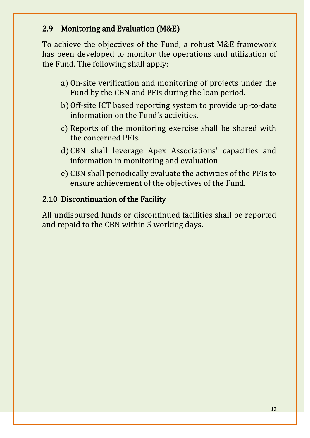### 2.9 Monitoring and Evaluation (M&E)

To achieve the objectives of the Fund, a robust M&E framework has been developed to monitor the operations and utilization of the Fund. The following shall apply:

- a) On-site verification and monitoring of projects under the Fund by the CBN and PFIs during the loan period.
- b) Off-site ICT based reporting system to provide up-to-date information on the Fund's activities.
- c) Reports of the monitoring exercise shall be shared with the concerned PFIs.
- d) CBN shall leverage Apex Associations' capacities and information in monitoring and evaluation
- e) CBN shall periodically evaluate the activities of the PFIs to ensure achievement of the objectives of the Fund.

### 2.10 Discontinuation of the Facility

All undisbursed funds or discontinued facilities shall be reported and repaid to the CBN within 5 working days.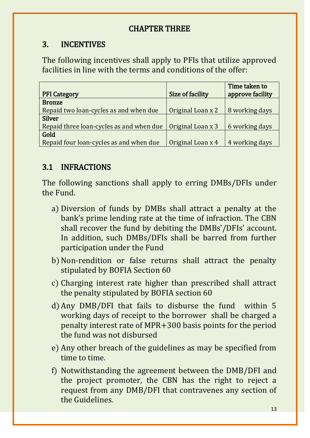### CHAPTER THREE

## 3. INCENTIVES

The following incentives shall apply to PFIs that utilize approved facilities in line with the terms and conditions of the offer:

|                                          |                   | Time taken to    |
|------------------------------------------|-------------------|------------------|
| <b>PFI Category</b>                      | Size of facility  | approve facility |
| <b>Bronze</b>                            |                   |                  |
| Repaid two loan-cycles as and when due   | Original Loan x 2 | 8 working days   |
| <b>Silver</b>                            |                   |                  |
| Repaid three loan-cycles as and when due | Original Loan x 3 | 6 working days   |
| Gold                                     |                   |                  |
| Repaid four loan-cycles as and when due  | Original Loan x 4 | 4 working days   |

## 3.1 INFRACTIONS

The following sanctions shall apply to erring DMBs/DFIs under the Fund.

- a) Diversion of funds by DMBs shall attract a penalty at the bank's prime lending rate at the time of infraction. The CBN shall recover the fund by debiting the DMBs'/DFIs' account. In addition, such DMBs/DFIs shall be barred from further participation under the Fund
- b) Non-rendition or false returns shall attract the penalty stipulated by BOFIA Section 60
- c) Charging interest rate higher than prescribed shall attract the penalty stipulated by BOFIA section 60
- d) Any DMB/DFI that fails to disburse the fund within 5 working days of receipt to the borrower shall be charged a penalty interest rate of MPR+300 basis points for the period the fund was not disbursed
- e) Any other breach of the guidelines as may be specified from time to time.
- f) Notwithstanding the agreement between the DMB/DFI and the project promoter, the CBN has the right to reject a request from any DMB/DFI that contravenes any section of the Guidelines.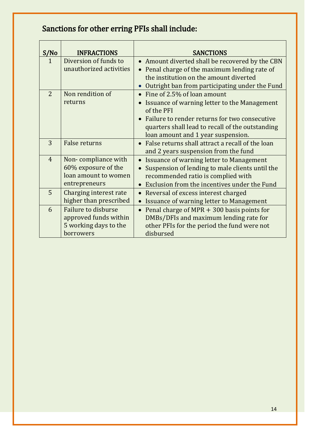# Sanctions for other erring PFIs shall include:

| S/No           | <b>INFRACTIONS</b>                                                                  | <b>SANCTIONS</b>                                                                                                                                                                                                                                  |
|----------------|-------------------------------------------------------------------------------------|---------------------------------------------------------------------------------------------------------------------------------------------------------------------------------------------------------------------------------------------------|
| $\mathbf{1}$   | Diversion of funds to<br>unauthorized activities                                    | • Amount diverted shall be recovered by the CBN<br>Penal charge of the maximum lending rate of<br>$\bullet$<br>the institution on the amount diverted<br>Outright ban from participating under the Fund<br>$\bullet$                              |
| $\overline{2}$ | Non rendition of<br>returns                                                         | Fine of 2.5% of loan amount<br>Issuance of warning letter to the Management<br>of the PFI<br>Failure to render returns for two consecutive<br>$\bullet$<br>quarters shall lead to recall of the outstanding<br>loan amount and 1 year suspension. |
| 3              | <b>False returns</b>                                                                | • False returns shall attract a recall of the loan<br>and 2 years suspension from the fund                                                                                                                                                        |
| $\overline{4}$ | Non-compliance with<br>60% exposure of the<br>loan amount to women<br>entrepreneurs | Issuance of warning letter to Management<br>$\bullet$<br>Suspension of lending to male clients until the<br>recommended ratio is complied with<br>Exclusion from the incentives under the Fund<br>$\bullet$                                       |
| 5              | Charging interest rate<br>higher than prescribed                                    | Reversal of excess interest charged<br>$\bullet$<br>Issuance of warning letter to Management<br>$\bullet$                                                                                                                                         |
| 6              | Failure to disburse<br>approved funds within<br>5 working days to the<br>borrowers  | Penal charge of MPR $+$ 300 basis points for<br>$\bullet$<br>DMBs/DFIs and maximum lending rate for<br>other PFIs for the period the fund were not<br>disbursed                                                                                   |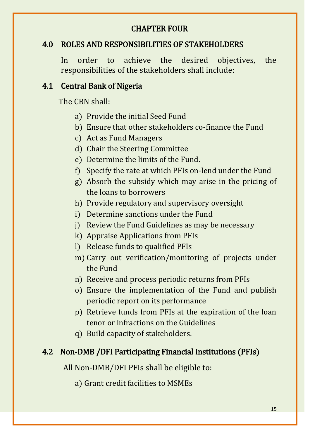### CHAPTER FOUR

### 4.0 ROLES AND RESPONSIBILITIES OF STAKEHOLDERS

In order to achieve the desired objectives, the responsibilities of the stakeholders shall include:

### 4.1 Central Bank of Nigeria

The CBN shall:

- a) Provide the initial Seed Fund
- b) Ensure that other stakeholders co-finance the Fund
- c) Act as Fund Managers
- d) Chair the Steering Committee
- e) Determine the limits of the Fund.
- f) Specify the rate at which PFIs on-lend under the Fund
- g) Absorb the subsidy which may arise in the pricing of the loans to borrowers
- h) Provide regulatory and supervisory oversight
- i) Determine sanctions under the Fund
- j) Review the Fund Guidelines as may be necessary
- k) Appraise Applications from PFIs
- l) Release funds to qualified PFIs
- m) Carry out verification/monitoring of projects under the Fund
- n) Receive and process periodic returns from PFIs
- o) Ensure the implementation of the Fund and publish periodic report on its performance
- p) Retrieve funds from PFIs at the expiration of the loan tenor or infractions on the Guidelines
- q) Build capacity of stakeholders.

### 4.2 Non-DMB /DFI Participating Financial Institutions (PFIs)

All Non-DMB/DFI PFIs shall be eligible to:

a) Grant credit facilities to MSMEs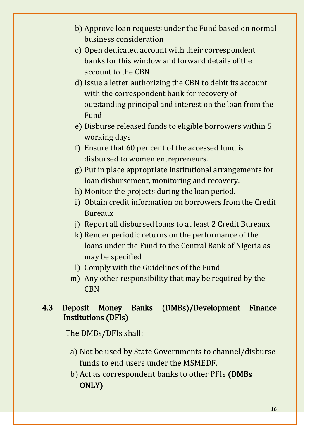- b) Approve loan requests under the Fund based on normal business consideration
- c) Open dedicated account with their correspondent banks for this window and forward details of the account to the CBN
- d) Issue a letter authorizing the CBN to debit its account with the correspondent bank for recovery of outstanding principal and interest on the loan from the Fund
- e) Disburse released funds to eligible borrowers within 5 working days
- f) Ensure that 60 per cent of the accessed fund is disbursed to women entrepreneurs.
- g) Put in place appropriate institutional arrangements for loan disbursement, monitoring and recovery.
- h) Monitor the projects during the loan period.
- i) Obtain credit information on borrowers from the Credit Bureaux
- j) Report all disbursed loans to at least 2 Credit Bureaux
- k) Render periodic returns on the performance of the loans under the Fund to the Central Bank of Nigeria as may be specified
- l) Comply with the Guidelines of the Fund
- m) Any other responsibility that may be required by the CBN

### 4.3 Deposit Money Banks (DMBs)/Development Finance Institutions (DFIs)

The DMBs/DFIs shall:

- a) Not be used by State Governments to channel/disburse funds to end users under the MSMEDF.
- b) Act as correspondent banks to other PFIs (DMBs ONLY)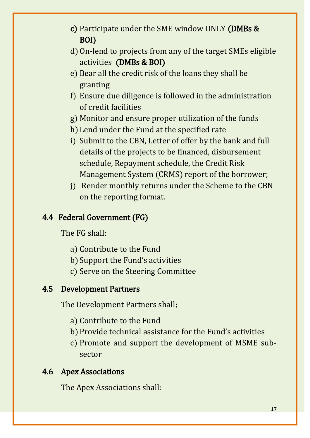- c) Participate under the SME window ONLY (DMBs & BOI)
- d) On-lend to projects from any of the target SMEs eligible activities (DMBs & BOI)
- e) Bear all the credit risk of the loans they shall be granting
- f) Ensure due diligence is followed in the administration of credit facilities
- g) Monitor and ensure proper utilization of the funds
- h) Lend under the Fund at the specified rate
- i) Submit to the CBN, Letter of offer by the bank and full details of the projects to be financed, disbursement schedule, Repayment schedule, the Credit Risk Management System (CRMS) report of the borrower;
- j) Render monthly returns under the Scheme to the CBN on the reporting format.

### 4.4 Federal Government (FG)

The FG shall:

- a) Contribute to the Fund
- b) Support the Fund's activities
- c) Serve on the Steering Committee

### 4.5 Development Partners

The Development Partners shall:

- a) Contribute to the Fund
- b) Provide technical assistance for the Fund's activities
- c) Promote and support the development of MSME subsector

### 4.6 Apex Associations

The Apex Associations shall: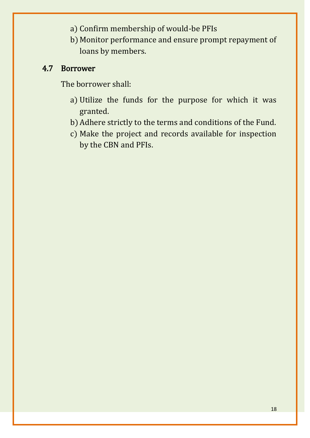- a) Confirm membership of would-be PFIs
- b) Monitor performance and ensure prompt repayment of loans by members.

### 4.7 Borrower

The borrower shall:

- a) Utilize the funds for the purpose for which it was granted.
- b) Adhere strictly to the terms and conditions of the Fund.
- c) Make the project and records available for inspection by the CBN and PFIs.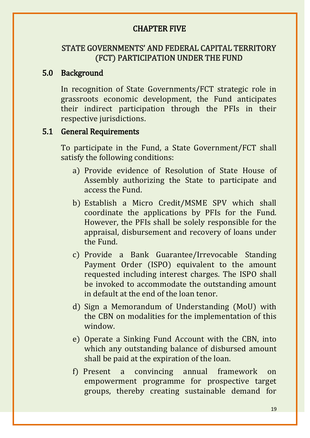### CHAPTER FIVE

### STATE GOVERNMENTS' AND FEDERAL CAPITAL TERRITORY (FCT) PARTICIPATION UNDER THE FUND

### 5.0 Background

In recognition of State Governments/FCT strategic role in grassroots economic development, the Fund anticipates their indirect participation through the PFIs in their respective jurisdictions.

### 5.1 General Requirements

To participate in the Fund, a State Government/FCT shall satisfy the following conditions:

- a) Provide evidence of Resolution of State House of Assembly authorizing the State to participate and access the Fund.
- b) Establish a Micro Credit/MSME SPV which shall coordinate the applications by PFIs for the Fund. However, the PFIs shall be solely responsible for the appraisal, disbursement and recovery of loans under the Fund.
- c) Provide a Bank Guarantee/Irrevocable Standing Payment Order (ISPO) equivalent to the amount requested including interest charges. The ISPO shall be invoked to accommodate the outstanding amount in default at the end of the loan tenor.
- d) Sign a Memorandum of Understanding (MoU) with the CBN on modalities for the implementation of this window.
- e) Operate a Sinking Fund Account with the CBN, into which any outstanding balance of disbursed amount shall be paid at the expiration of the loan.
- f) Present a convincing annual framework on empowerment programme for prospective target groups, thereby creating sustainable demand for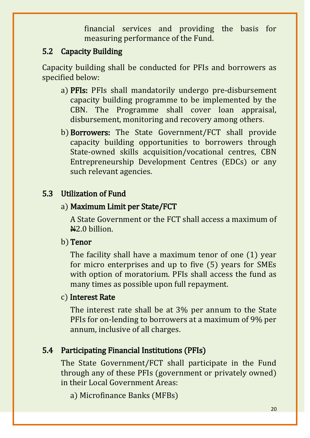financial services and providing the basis for measuring performance of the Fund.

### 5.2 Capacity Building

Capacity building shall be conducted for PFIs and borrowers as specified below:

- a) PFIs: PFIs shall mandatorily undergo pre-disbursement capacity building programme to be implemented by the CBN. The Programme shall cover loan appraisal, disbursement, monitoring and recovery among others.
- b) Borrowers: The State Government/FCT shall provide capacity building opportunities to borrowers through State-owned skills acquisition/vocational centres, CBN Entrepreneurship Development Centres (EDCs) or any such relevant agencies.

## 5.3 Utilization of Fund

### a) Maximum Limit per State/FCT

A State Government or the FCT shall access a maximum of  $\textcolor{blue}{\text{42.0} }$  billion.

## b) Tenor

The facility shall have a maximum tenor of one (1) year for micro enterprises and up to five (5) years for SMEs with option of moratorium. PFIs shall access the fund as many times as possible upon full repayment.

### c) Interest Rate

The interest rate shall be at 3% per annum to the State PFIs for on-lending to borrowers at a maximum of 9% per annum, inclusive of all charges.

## 5.4 Participating Financial Institutions (PFIs)

The State Government/FCT shall participate in the Fund through any of these PFIs (government or privately owned) in their Local Government Areas:

a) Microfinance Banks (MFBs)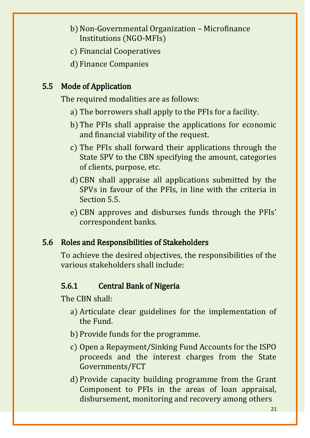- b) Non-Governmental Organization Microfinance Institutions (NGO-MFIs)
- c) Financial Cooperatives
- d) Finance Companies

## 5.5 Mode of Application

The required modalities are as follows:

- a) The borrowers shall apply to the PFIs for a facility.
- b) The PFIs shall appraise the applications for economic and financial viability of the request.
- c) The PFIs shall forward their applications through the State SPV to the CBN specifying the amount, categories of clients, purpose, etc.
- d) CBN shall appraise all applications submitted by the SPVs in favour of the PFIs, in line with the criteria in Section 5.5.
- e) CBN approves and disburses funds through the PFIs' correspondent banks.

### 5.6 Roles and Responsibilities of Stakeholders

To achieve the desired objectives, the responsibilities of the various stakeholders shall include:

### 5.6.1 Central Bank of Nigeria

The CBN shall:

- a) Articulate clear guidelines for the implementation of the Fund.
- b) Provide funds for the programme.
- c) Open a Repayment/Sinking Fund Accounts for the ISPO proceeds and the interest charges from the State Governments/FCT
- d) Provide capacity building programme from the Grant Component to PFIs in the areas of loan appraisal, disbursement, monitoring and recovery among others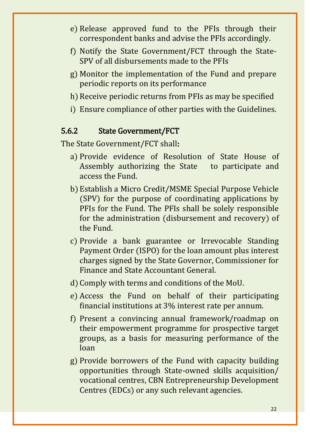- e) Release approved fund to the PFIs through their correspondent banks and advise the PFIs accordingly.
- f) Notify the State Government/FCT through the State-SPV of all disbursements made to the PFIs
- g) Monitor the implementation of the Fund and prepare periodic reports on its performance
- h) Receive periodic returns from PFIs as may be specified
- i) Ensure compliance of other parties with the Guidelines.

#### 5.6.2 State Government/FCT

The State Government/FCT shall:

- a) Provide evidence of Resolution of State House of Assembly authorizing the State to participate and access the Fund.
- b) Establish a Micro Credit/MSME Special Purpose Vehicle (SPV) for the purpose of coordinating applications by PFIs for the Fund. The PFIs shall be solely responsible for the administration (disbursement and recovery) of the Fund.
- c) Provide a bank guarantee or Irrevocable Standing Payment Order (ISPO) for the loan amount plus interest charges signed by the State Governor, Commissioner for Finance and State Accountant General.
- d) Comply with terms and conditions of the MoU.
- e) Access the Fund on behalf of their participating financial institutions at 3% interest rate per annum.
- f) Present a convincing annual framework/roadmap on their empowerment programme for prospective target groups, as a basis for measuring performance of the loan
- g) Provide borrowers of the Fund with capacity building opportunities through State-owned skills acquisition/ vocational centres, CBN Entrepreneurship Development Centres (EDCs) or any such relevant agencies.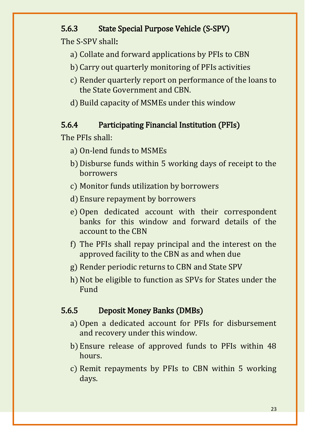### 5.6.3 State Special Purpose Vehicle (S-SPV)

The S-SPV shall:

- a) Collate and forward applications by PFIs to CBN
- b) Carry out quarterly monitoring of PFIs activities
- c) Render quarterly report on performance of the loans to the State Government and CBN.
- d) Build capacity of MSMEs under this window

### 5.6.4 Participating Financial Institution (PFIs)

The PFIs shall:

- a) On-lend funds to MSMEs
- b) Disburse funds within 5 working days of receipt to the borrowers
- c) Monitor funds utilization by borrowers
- d) Ensure repayment by borrowers
- e) Open dedicated account with their correspondent banks for this window and forward details of the account to the CBN
- f) The PFIs shall repay principal and the interest on the approved facility to the CBN as and when due
- g) Render periodic returns to CBN and State SPV
- h) Not be eligible to function as SPVs for States under the Fund

## 5.6.5 Deposit Money Banks (DMBs)

- a) Open a dedicated account for PFIs for disbursement and recovery under this window.
- b) Ensure release of approved funds to PFIs within 48 hours.
- c) Remit repayments by PFIs to CBN within 5 working days.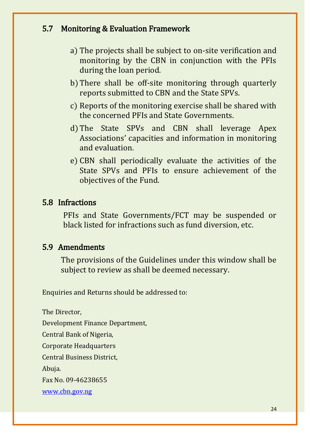### 5.7 Monitoring & Evaluation Framework

- a) The projects shall be subject to on-site verification and monitoring by the CBN in conjunction with the PFIs during the loan period.
- b) There shall be off-site monitoring through quarterly reports submitted to CBN and the State SPVs.
- c) Reports of the monitoring exercise shall be shared with the concerned PFIs and State Governments.
- d) The State SPVs and CBN shall leverage Apex Associations' capacities and information in monitoring and evaluation.
- e) CBN shall periodically evaluate the activities of the State SPVs and PFIs to ensure achievement of the objectives of the Fund.

#### 5.8 Infractions

PFIs and State Governments/FCT may be suspended or black listed for infractions such as fund diversion, etc.

#### 5.9 Amendments

The provisions of the Guidelines under this window shall be subject to review as shall be deemed necessary.

Enquiries and Returns should be addressed to:

The Director,

Development Finance Department,

Central Bank of Nigeria,

Corporate Headquarters

Central Business District,

Abuja.

Fax No. 09-46238655

[www.cbn.gov.ng](http://www.cbn.gov.ng/)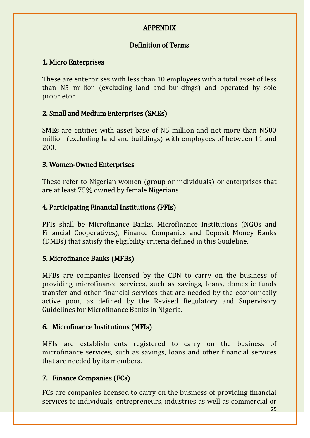#### APPENDIX

#### Definition of Terms

#### 1. Micro Enterprises

These are enterprises with less than 10 employees with a total asset of less than N5 million (excluding land and buildings) and operated by sole proprietor.

#### 2. Small and Medium Enterprises (SMEs)

SMEs are entities with asset base of N5 million and not more than N500 million (excluding land and buildings) with employees of between 11 and 200.

#### 3. Women-Owned Enterprises

These refer to Nigerian women (group or individuals) or enterprises that are at least 75% owned by female Nigerians.

### 4. Participating Financial Institutions (PFIs)

PFIs shall be Microfinance Banks, Microfinance Institutions (NGOs and Financial Cooperatives), Finance Companies and Deposit Money Banks (DMBs) that satisfy the eligibility criteria defined in this Guideline.

#### 5. Microfinance Banks (MFBs)

MFBs are companies licensed by the CBN to carry on the business of providing microfinance services, such as savings, loans, domestic funds transfer and other financial services that are needed by the economically active poor, as defined by the Revised Regulatory and Supervisory Guidelines for Microfinance Banks in Nigeria.

### 6. Microfinance Institutions (MFIs)

MFIs are establishments registered to carry on the business of microfinance services, such as savings, loans and other financial services that are needed by its members.

#### 7. Finance Companies (FCs)

FCs are companies licensed to carry on the business of providing financial services to individuals, entrepreneurs, industries as well as commercial or